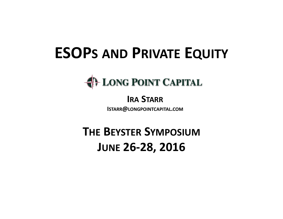# **ESOPS AND PRIVATE EQUITY**

# **EDEL DE POINT CAPITAL**

## **IRA STARR**

**ISTARR@LONGPOINTCAPITAL.COM**

# **THE BEYSTER SYMPOSIUMJUNE 26‐28, 2016**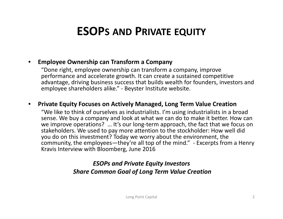## **ESOPS AND PRIVATE EQUITY**

#### •**Employee Ownership can Transform <sup>a</sup> Company**

"Done right, employee ownership can transform <sup>a</sup> company, improve performance and accelerate growth. It can create <sup>a</sup> sustained competitive advantage, driving business success that builds wealth for founders, investors and employee shareholders alike." ‐ Beyster Institute website.

#### •**Private Equity Focuses on Actively Managed, Long Term Value Creation**

"We like to think of ourselves as industrialists. I'm using industrialists in <sup>a</sup> broad sense. We buy <sup>a</sup> company and look at what we can do to make it better. How can we improve operations? … It's our long‐term approach, the fact that we focus on stakeholders. We used to pay more attention to the stockholder: How well did you do on this investment? Today we worry about the environment, the community, the employees—they're all top of the mind." ‐ Excerpts from <sup>a</sup> Henry Kravis Interview with Bloomberg, June 2016

### *ESOPs and Private Equity Investors Share Common Goal of Long Term Value Creation*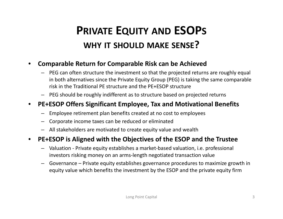# **PRIVATE EQUITY AND ESOPS WHY IT SHOULD MAKE SENSE?**

### •**Comparable Return for Comparable Risk can be Achieved**

- PEG can often structure the investment so that the projected returns are roughly equal in both alternatives since the Private Equity Group (PEG) is taking the same comparable risk in the Traditional PE structure and the PE+ESOP structure
- PEG should be roughly indifferent as to structure based on projected returns

### $\bullet$ **PE+ESOP Offers Significant Employee, Tax and Motivational Benefits**

- Employee retirement plan benefits created at no cost to employees
- Corporate income taxes can be reduced or eliminated
- All stakeholders are motivated to create equity value and wealth

### $\bullet$ **PE+ESOP is Aligned with the Objectives of the ESOP and the Trustee**

- Valuation ‐ Private equity establishes <sup>a</sup> market‐based valuation, i.e. professional investors risking money on an arms‐length negotiated transaction value
- Governance Private equity establishes governance procedures to maximize growth in equity value which benefits the investment by the ESOP and the private equity firm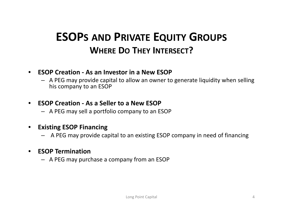## **ESOPS AND PRIVATE EQUITY GROUPS WHERE DO THEY INTERSECT?**

#### •**ESOP Creation ‐ As an Investor in a New ESOP**

– A PEG may provide capital to allow an owner to generate liquidity when selling his company to an ESOP

#### •**ESOP Creation ‐ As <sup>a</sup> Seller to a New ESOP**

– A PEG may sell <sup>a</sup> portfolio company to an ESOP

#### •**Existing ESOP Financing**

A PEG may provide capital to an existing ESOP company in need of financing

### •**ESOP Termination**

– A PEG may purchase <sup>a</sup> company from an ESOP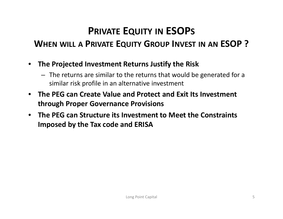## **PRIVATE EQUITY IN ESOPS**

### **WHEN WILL A PRIVATE EQUITY GROUP INVEST IN AN ESOP ?**

- $\bullet$  **The Projected Investment Returns Justify the Risk**
	- The returns are similar to the returns that would be generated for <sup>a</sup> similar risk profile in an alternative investment
- $\bullet$  **The PEG can Create Value and Protect and Exit Its Investment through Proper Governance Provisions**
- $\bullet$  **The PEG can Structure its Investment to Meet the Constraints Imposed by the Tax code and ERISA**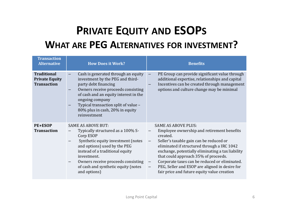## **PRIVATE EQUITY AND ESOPS WHAT ARE PEG ALTERNATIVES FOR INVESTMENT?**

| <b>Transaction</b><br><b>Alternative</b>                          | <b>How Does it Work?</b>                                                                                                                                                                                                                                                                         | <b>Benefits</b>                                                                                                                                                                                                                                                                                                                                                                                                                                           |
|-------------------------------------------------------------------|--------------------------------------------------------------------------------------------------------------------------------------------------------------------------------------------------------------------------------------------------------------------------------------------------|-----------------------------------------------------------------------------------------------------------------------------------------------------------------------------------------------------------------------------------------------------------------------------------------------------------------------------------------------------------------------------------------------------------------------------------------------------------|
| <b>Traditional</b><br><b>Private Equity</b><br><b>Transaction</b> | Cash is generated through an equity<br>investment by the PEG and third-<br>party debt financing<br>Owners receive proceeds consisting<br>of cash and an equity interest in the<br>ongoing company<br>Typical transaction split of value -<br>80% plus in cash, 20% in equity<br>reinvestment     | PE Group can provide significant value through<br>additional expertise, relationships and capital<br>Incentives can be created through management<br>options and culture change may be minimal                                                                                                                                                                                                                                                            |
| <b>PE+ESOP</b><br><b>Transaction</b>                              | <b>SAME AS ABOVE BUT:</b><br>Typically structured as a 100% S-<br>Corp ESOP<br>Synthetic equity investment (notes<br>and options) used by the PEG<br>instead of a traditional equity<br>investment.<br>Owners receive proceeds consisting<br>of cash and synthetic equity (notes<br>and options) | <b>SAME AS ABOVE PLUS:</b><br>Employee ownership and retirement benefits<br>created.<br>Seller's taxable gain can be reduced or<br>eliminated if structured through a IRC 1042<br>exchange, potentially eliminating a tax liability<br>that could approach 35% of proceeds.<br>Corporate taxes can be reduced or eliminated.<br>$\overline{\phantom{m}}$<br>PEG, Seller and ESOP are aligned in desire for<br>fair price and future equity value creation |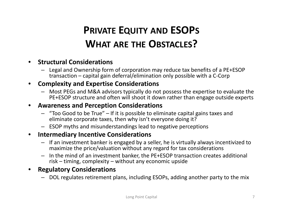## **PRIVATE EQUITY AND ESOPS WHAT ARE THE OBSTACLES?**

### •**Structural Considerations**

– Legal and Ownership form of corporation may reduce tax benefits of <sup>a</sup> PE+ESOP transaction – capital gain deferral/elimination only possible with <sup>a</sup> C‐Corp

### •**Complexity and Expertise Considerations**

– Most PEGs and M&A advisors typically do not possess the expertise to evaluate the PE+ESOP structure and often will shoot it down rather than engage outside experts

### •**Awareness and Perception Considerations**

- "Too Good to be True" If it is possible to eliminate capital gains taxes and eliminate corporate taxes, then why isn't everyone doing it?
- ESOP myths and misunderstandings lead to negative perceptions

### $\bullet$ **Intermediary Incentive Considerations**

- If an investment banker is engaged by <sup>a</sup> seller, he is virtually always incentivized to maximize the price/valuation without any regard for tax considerations
- In the mind of an investment banker, the PE+ESOP transaction creates additional risk – timing, complexity – without any economic upside

### •**Regulatory Considerations**

– DOL regulates retirement plans, including ESOPs, adding another party to the mix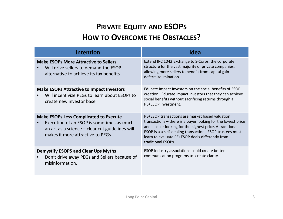### **PRIVATE EQUITY AND ESOPS HOW TO OVERCOME THE OBSTACLES?**

| <b>Intention</b>                                                                                                                                                                  | Idea                                                                                                                                                                                                                                                                                                               |
|-----------------------------------------------------------------------------------------------------------------------------------------------------------------------------------|--------------------------------------------------------------------------------------------------------------------------------------------------------------------------------------------------------------------------------------------------------------------------------------------------------------------|
| <b>Make ESOPs More Attractive to Sellers</b><br>Will drive sellers to demand the ESOP<br>alternative to achieve its tax benefits                                                  | Extend IRC 1042 Exchange to S-Corps, the corporate<br>structure for the vast majority of private companies,<br>allowing more sellers to benefit from capital gain<br>deferral/elimination.                                                                                                                         |
| <b>Make ESOPs Attractive to Impact Investors</b><br>Will incentivize PEGs to learn about ESOPs to<br>create new investor base                                                     | Educate Impact Investors on the social benefits of ESOP<br>creation. Educate Impact Investors that they can achieve<br>social benefits without sacrificing returns through a<br>PE+ESOP investment.                                                                                                                |
| <b>Make ESOPs Less Complicated to Execute</b><br>Execution of an ESOP is sometimes as much<br>an art as a science – clear cut guidelines will<br>makes it more attractive to PEGs | PE+ESOP transactions are market based valuation<br>transactions – there is a buyer looking for the lowest price<br>and a seller looking for the highest price. A traditional<br>ESOP is a a self-dealing transaction. ESOP trustees must<br>learn to evaluate PE+ESOP deals differently from<br>traditional ESOPs. |
| <b>Demystify ESOPS and Clear Ups Myths</b><br>Don't drive away PEGs and Sellers because of<br>misinformation.                                                                     | ESOP industry associations could create better<br>communication programs to create clarity.                                                                                                                                                                                                                        |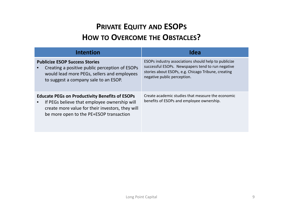### **PRIVATE EQUITY AND ESOPS HOW TO OVERCOME THE OBSTACLES?**

| <b>Intention</b>                                                                                                                                                                                     | Idea                                                                                                                                                                                            |
|------------------------------------------------------------------------------------------------------------------------------------------------------------------------------------------------------|-------------------------------------------------------------------------------------------------------------------------------------------------------------------------------------------------|
| <b>Publicize ESOP Success Stories</b><br>Creating a positive public perception of ESOPs<br>would lead more PEGs, sellers and employees<br>to suggest a company sale to an ESOP.                      | ESOPs industry associations should help to publicize<br>successful ESOPs. Newspapers tend to run negative<br>stories about ESOPs, e.g. Chicago Tribune, creating<br>negative public perception. |
| <b>Educate PEGs on Productivity Benefits of ESOPs</b><br>If PEGs believe that employee ownership will<br>create more value for their investors, they will<br>be more open to the PE+ESOP transaction | Create academic studies that measure the economic<br>benefits of ESOPs and employee ownership.                                                                                                  |